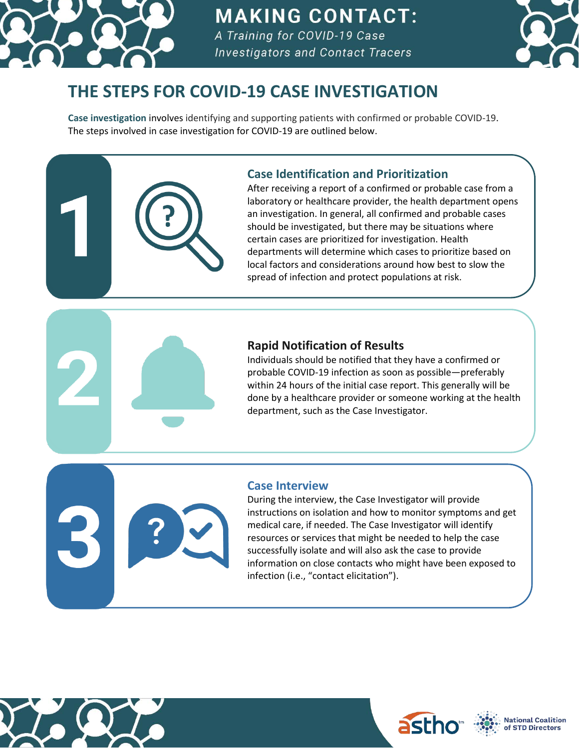

## **MAKING CONTACT:**

A Training for COVID-19 Case **Investigators and Contact Tracers** 



### **THE STEPS FOR COVID-19 CASE INVESTIGATION**

**Case investigation** involves identifying and supporting patients with confirmed or probable COVID-19. The steps involved in case investigation for COVID-19 are outlined below.

#### **Case Identification and Prioritization**

After receiving a report of a confirmed or probable case from a laboratory or healthcare provider, the health department opens an investigation. In general, all confirmed and probable cases should be investigated, but there may be situations where certain cases are prioritized for investigation. Health departments will determine which cases to prioritize based on local factors and considerations around how best to slow the spread of infection and protect populations at risk.

#### **Rapid Notification of Results**

Individuals should be notified that they have a confirmed or probable COVID-19 infection as soon as possible—preferably within 24 hours of the initial case report. This generally will be done by a healthcare provider or someone working at the health department, such as the Case Investigator.

#### **Case Interview**

During the interview, the Case Investigator will provide instructions on isolation and how to monitor symptoms and get medical care, if needed. The Case Investigator will identify resources or services that might be needed to help the case successfully isolate and will also ask the case to provide information on close contacts who might have been exposed to infection (i.e., "contact elicitation").







**National Coalition** of STD Directors